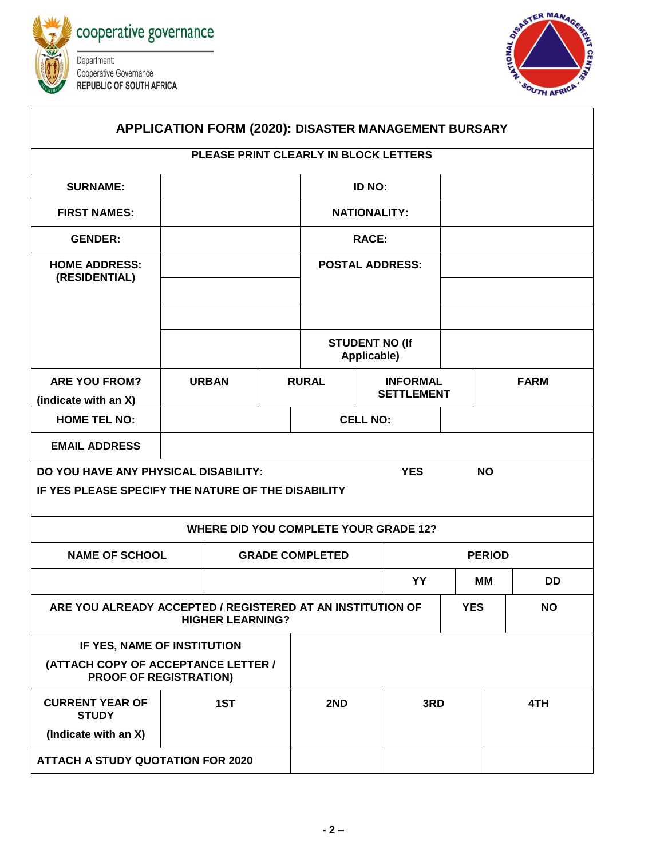



| APPLICATION FORM (2020): DISASTER MANAGEMENT BURSARY                                                                  |              |                        |     |                        |               |                                      |            |             |           |
|-----------------------------------------------------------------------------------------------------------------------|--------------|------------------------|-----|------------------------|---------------|--------------------------------------|------------|-------------|-----------|
| PLEASE PRINT CLEARLY IN BLOCK LETTERS                                                                                 |              |                        |     |                        |               |                                      |            |             |           |
| <b>SURNAME:</b>                                                                                                       |              |                        |     | <b>ID NO:</b>          |               |                                      |            |             |           |
| <b>FIRST NAMES:</b>                                                                                                   |              |                        |     | <b>NATIONALITY:</b>    |               |                                      |            |             |           |
| <b>GENDER:</b>                                                                                                        |              |                        |     | <b>RACE:</b>           |               |                                      |            |             |           |
| <b>HOME ADDRESS:</b><br>(RESIDENTIAL)                                                                                 |              |                        |     | <b>POSTAL ADDRESS:</b> |               |                                      |            |             |           |
|                                                                                                                       |              |                        |     |                        | Applicable)   | <b>STUDENT NO (If</b>                |            |             |           |
| <b>ARE YOU FROM?</b>                                                                                                  | <b>URBAN</b> |                        |     | <b>RURAL</b>           |               | <b>INFORMAL</b><br><b>SETTLEMENT</b> |            | <b>FARM</b> |           |
| (indicate with an X)<br><b>HOME TEL NO:</b>                                                                           |              |                        |     | <b>CELL NO:</b>        |               |                                      |            |             |           |
| <b>EMAIL ADDRESS</b>                                                                                                  |              |                        |     |                        |               |                                      |            |             |           |
| DO YOU HAVE ANY PHYSICAL DISABILITY:<br><b>YES</b><br><b>NO</b><br>IF YES PLEASE SPECIFY THE NATURE OF THE DISABILITY |              |                        |     |                        |               |                                      |            |             |           |
| <b>WHERE DID YOU COMPLETE YOUR GRADE 12?</b>                                                                          |              |                        |     |                        |               |                                      |            |             |           |
| <b>NAME OF SCHOOL</b>                                                                                                 |              | <b>GRADE COMPLETED</b> |     |                        | <b>PERIOD</b> |                                      |            |             |           |
|                                                                                                                       |              |                        |     |                        |               | YY                                   |            | MМ          | <b>DD</b> |
| ARE YOU ALREADY ACCEPTED / REGISTERED AT AN INSTITUTION OF<br><b>HIGHER LEARNING?</b>                                 |              |                        |     |                        |               |                                      | <b>YES</b> |             | <b>NO</b> |
| IF YES, NAME OF INSTITUTION                                                                                           |              |                        |     |                        |               |                                      |            |             |           |
| (ATTACH COPY OF ACCEPTANCE LETTER /<br><b>PROOF OF REGISTRATION)</b>                                                  |              |                        |     |                        |               |                                      |            |             |           |
| <b>CURRENT YEAR OF</b><br><b>STUDY</b>                                                                                | 1ST          |                        | 2ND |                        | 3RD           |                                      | 4TH        |             |           |
| (Indicate with an X)                                                                                                  |              |                        |     |                        |               |                                      |            |             |           |
| <b>ATTACH A STUDY QUOTATION FOR 2020</b>                                                                              |              |                        |     |                        |               |                                      |            |             |           |